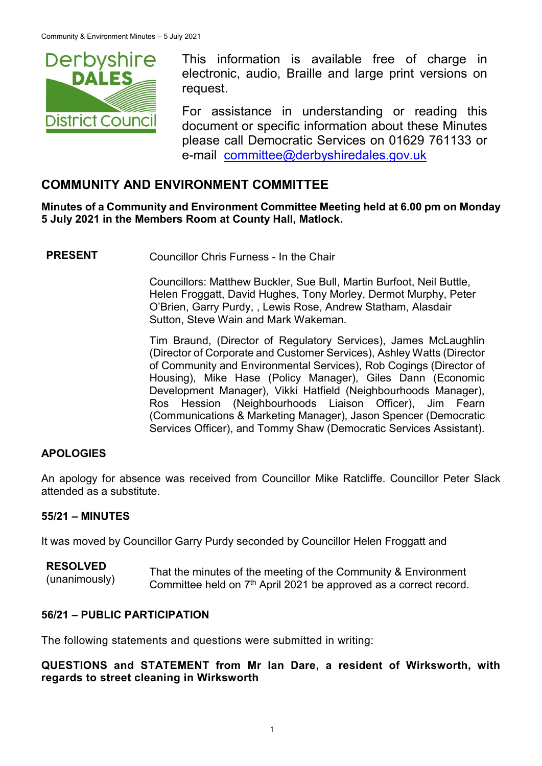

This information is available free of charge in electronic, audio, Braille and large print versions on request.

For assistance in understanding or reading this document or specific information about these Minutes please call Democratic Services on 01629 761133 or e-mail [committee@derbyshiredales.gov.uk](mailto:brian.evans@derbyshiredales.gov.uk)

# **COMMUNITY AND ENVIRONMENT COMMITTEE**

**Minutes of a Community and Environment Committee Meeting held at 6.00 pm on Monday 5 July 2021 in the Members Room at County Hall, Matlock.**

**PRESENT** Councillor Chris Furness - In the Chair

Councillors: Matthew Buckler, Sue Bull, Martin Burfoot, Neil Buttle, Helen Froggatt, David Hughes, Tony Morley, Dermot Murphy, Peter O'Brien, Garry Purdy, , Lewis Rose, Andrew Statham, Alasdair Sutton, Steve Wain and Mark Wakeman.

Tim Braund, (Director of Regulatory Services), James McLaughlin (Director of Corporate and Customer Services), Ashley Watts (Director of Community and Environmental Services), Rob Cogings (Director of Housing), Mike Hase (Policy Manager), Giles Dann (Economic Development Manager), Vikki Hatfield (Neighbourhoods Manager), Ros Hession (Neighbourhoods Liaison Officer), Jim Fearn (Communications & Marketing Manager), Jason Spencer (Democratic Services Officer), and Tommy Shaw (Democratic Services Assistant).

### **APOLOGIES**

An apology for absence was received from Councillor Mike Ratcliffe. Councillor Peter Slack attended as a substitute.

#### **55/21 – MINUTES**

It was moved by Councillor Garry Purdy seconded by Councillor Helen Froggatt and

| <b>RESOLVED</b> | That the minutes of the meeting of the Community & Environment      |
|-----------------|---------------------------------------------------------------------|
| (unanimously)   |                                                                     |
|                 | Committee held on $7th$ April 2021 be approved as a correct record. |

### **56/21 – PUBLIC PARTICIPATION**

The following statements and questions were submitted in writing:

**QUESTIONS and STATEMENT from Mr Ian Dare, a resident of Wirksworth, with regards to street cleaning in Wirksworth**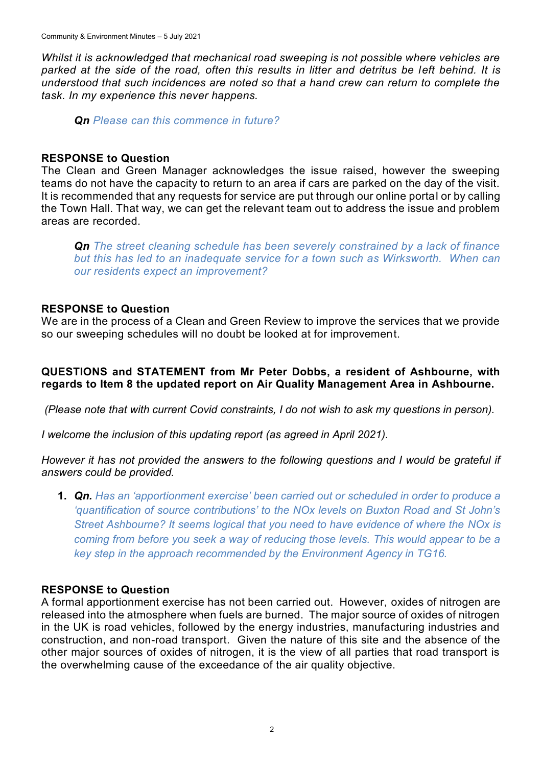*Whilst it is acknowledged that mechanical road sweeping is not possible where vehicles are parked at the side of the road, often this results in litter and detritus be left behind. It is understood that such incidences are noted so that a hand crew can return to complete the task. In my experience this never happens.* 

*Qn Please can this commence in future?*

### **RESPONSE to Question**

The Clean and Green Manager acknowledges the issue raised, however the sweeping teams do not have the capacity to return to an area if cars are parked on the day of the visit. It is recommended that any requests for service are put through our online portal or by calling the Town Hall. That way, we can get the relevant team out to address the issue and problem areas are recorded.

*Qn The street cleaning schedule has been severely constrained by a lack of finance but this has led to an inadequate service for a town such as Wirksworth. When can our residents expect an improvement?*

### **RESPONSE to Question**

We are in the process of a Clean and Green Review to improve the services that we provide so our sweeping schedules will no doubt be looked at for improvement.

### **QUESTIONS and STATEMENT from Mr Peter Dobbs, a resident of Ashbourne, with regards to Item 8 the updated report on Air Quality Management Area in Ashbourne.**

*(Please note that with current Covid constraints, I do not wish to ask my questions in person).*

*I welcome the inclusion of this updating report (as agreed in April 2021).*

*However it has not provided the answers to the following questions and I would be grateful if answers could be provided.*

**1.** *Qn. Has an 'apportionment exercise' been carried out or scheduled in order to produce a 'quantification of source contributions' to the NOx levels on Buxton Road and St John's Street Ashbourne? It seems logical that you need to have evidence of where the NOx is coming from before you seek a way of reducing those levels. This would appear to be a key step in the approach recommended by the Environment Agency in TG16.*

### **RESPONSE to Question**

A formal apportionment exercise has not been carried out. However, oxides of nitrogen are released into the atmosphere when fuels are burned. The major source of oxides of nitrogen in the UK is road vehicles, followed by the energy industries, manufacturing industries and construction, and non-road transport. Given the nature of this site and the absence of the other major sources of oxides of nitrogen, it is the view of all parties that road transport is the overwhelming cause of the exceedance of the air quality objective.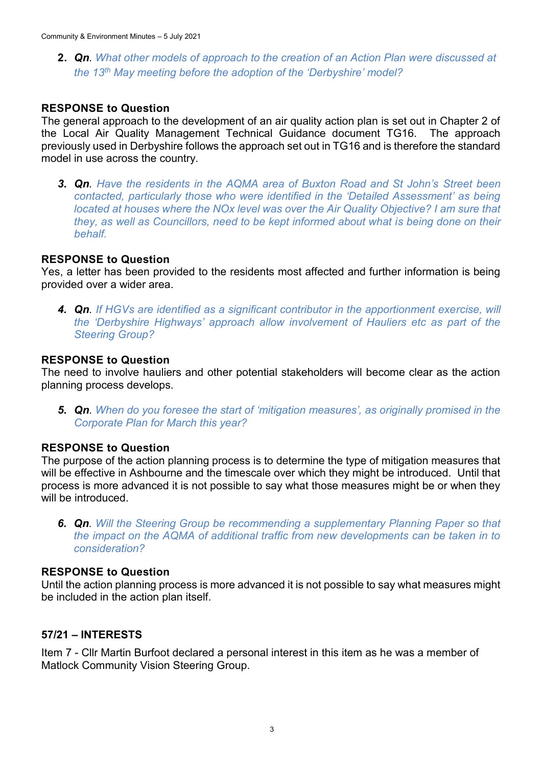**2.** *Qn. What other models of approach to the creation of an Action Plan were discussed at the 13th May meeting before the adoption of the 'Derbyshire' model?*

#### **RESPONSE to Question**

The general approach to the development of an air quality action plan is set out in Chapter 2 of the Local Air Quality Management Technical Guidance document TG16. The approach previously used in Derbyshire follows the approach set out in TG16 and is therefore the standard model in use across the country.

*3. Qn. Have the residents in the AQMA area of Buxton Road and St John's Street been contacted, particularly those who were identified in the 'Detailed Assessment' as being located at houses where the NOx level was over the Air Quality Objective? I am sure that they, as well as Councillors, need to be kept informed about what is being done on their behalf.*

#### **RESPONSE to Question**

Yes, a letter has been provided to the residents most affected and further information is being provided over a wider area.

*4. Qn. If HGVs are identified as a significant contributor in the apportionment exercise, will the 'Derbyshire Highways' approach allow involvement of Hauliers etc as part of the Steering Group?*

#### **RESPONSE to Question**

The need to involve hauliers and other potential stakeholders will become clear as the action planning process develops.

*5. Qn. When do you foresee the start of 'mitigation measures', as originally promised in the Corporate Plan for March this year?* 

#### **RESPONSE to Question**

The purpose of the action planning process is to determine the type of mitigation measures that will be effective in Ashbourne and the timescale over which they might be introduced. Until that process is more advanced it is not possible to say what those measures might be or when they will be introduced.

*6. Qn. Will the Steering Group be recommending a supplementary Planning Paper so that the impact on the AQMA of additional traffic from new developments can be taken in to consideration?*

### **RESPONSE to Question**

Until the action planning process is more advanced it is not possible to say what measures might be included in the action plan itself.

#### **57/21 – INTERESTS**

Item 7 - Cllr Martin Burfoot declared a personal interest in this item as he was a member of Matlock Community Vision Steering Group.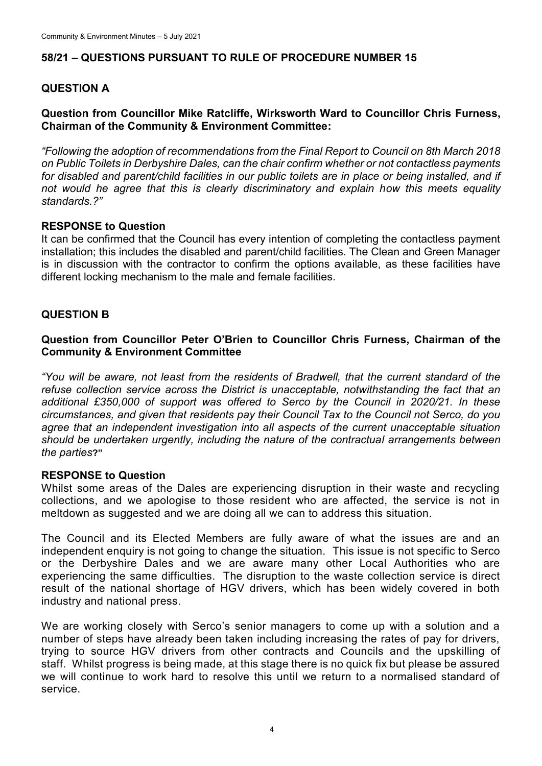## **58/21 – QUESTIONS PURSUANT TO RULE OF PROCEDURE NUMBER 15**

## **QUESTION A**

### **Question from Councillor Mike Ratcliffe, Wirksworth Ward to Councillor Chris Furness, Chairman of the Community & Environment Committee:**

*"Following the adoption of recommendations from the Final Report to Council on 8th March 2018 on Public Toilets in Derbyshire Dales, can the chair confirm whether or not contactless payments*  for disabled and parent/child facilities in our public toilets are in place or being installed, and if *not would he agree that this is clearly discriminatory and explain how this meets equality standards.?"*

### **RESPONSE to Question**

It can be confirmed that the Council has every intention of completing the contactless payment installation; this includes the disabled and parent/child facilities. The Clean and Green Manager is in discussion with the contractor to confirm the options available, as these facilities have different locking mechanism to the male and female facilities.

### **QUESTION B**

### **Question from Councillor Peter O'Brien to Councillor Chris Furness, Chairman of the Community & Environment Committee**

*"You will be aware, not least from the residents of Bradwell, that the current standard of the refuse collection service across the District is unacceptable, notwithstanding the fact that an additional £350,000 of support was offered to Serco by the Council in 2020/21. In these circumstances, and given that residents pay their Council Tax to the Council not Serco, do you agree that an independent investigation into all aspects of the current unacceptable situation should be undertaken urgently, including the nature of the contractual arrangements between the parties***?"**

### **RESPONSE to Question**

Whilst some areas of the Dales are experiencing disruption in their waste and recycling collections, and we apologise to those resident who are affected, the service is not in meltdown as suggested and we are doing all we can to address this situation.

The Council and its Elected Members are fully aware of what the issues are and an independent enquiry is not going to change the situation. This issue is not specific to Serco or the Derbyshire Dales and we are aware many other Local Authorities who are experiencing the same difficulties. The disruption to the waste collection service is direct result of the national shortage of HGV drivers, which has been widely covered in both industry and national press.

We are working closely with Serco's senior managers to come up with a solution and a number of steps have already been taken including increasing the rates of pay for drivers, trying to source HGV drivers from other contracts and Councils and the upskilling of staff. Whilst progress is being made, at this stage there is no quick fix but please be assured we will continue to work hard to resolve this until we return to a normalised standard of service.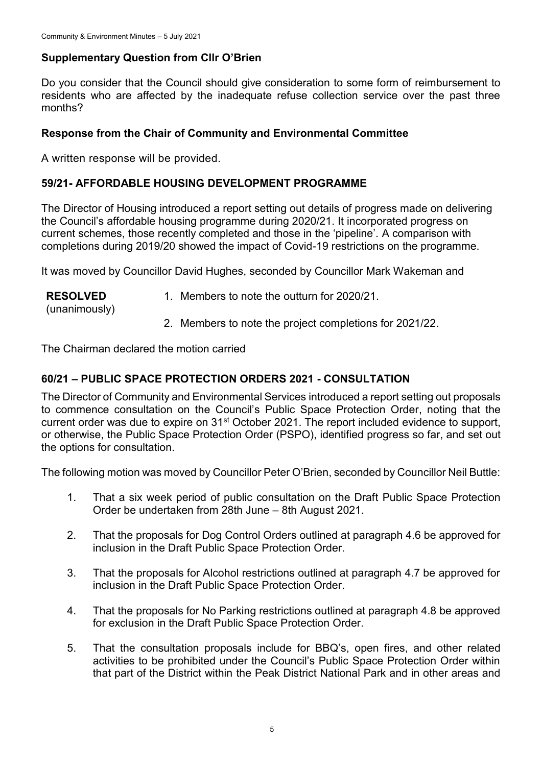## **Supplementary Question from Cllr O'Brien**

Do you consider that the Council should give consideration to some form of reimbursement to residents who are affected by the inadequate refuse collection service over the past three months?

### **Response from the Chair of Community and Environmental Committee**

A written response will be provided.

### **59/21- AFFORDABLE HOUSING DEVELOPMENT PROGRAMME**

The Director of Housing introduced a report setting out details of progress made on delivering the Council's affordable housing programme during 2020/21. It incorporated progress on current schemes, those recently completed and those in the 'pipeline'. A comparison with completions during 2019/20 showed the impact of Covid-19 restrictions on the programme.

It was moved by Councillor David Hughes, seconded by Councillor Mark Wakeman and

| <b>RESOLVED</b><br>(unanimously) | 1. Members to note the outturn for 2020/21.             |
|----------------------------------|---------------------------------------------------------|
|                                  | 2. Members to note the project completions for 2021/22. |

The Chairman declared the motion carried

## **60/21 – PUBLIC SPACE PROTECTION ORDERS 2021 - CONSULTATION**

The Director of Community and Environmental Services introduced a report setting out proposals to commence consultation on the Council's Public Space Protection Order, noting that the current order was due to expire on 31<sup>st</sup> October 2021. The report included evidence to support, or otherwise, the Public Space Protection Order (PSPO), identified progress so far, and set out the options for consultation.

The following motion was moved by Councillor Peter O'Brien, seconded by Councillor Neil Buttle:

- 1. That a six week period of public consultation on the Draft Public Space Protection Order be undertaken from 28th June – 8th August 2021.
- 2. That the proposals for Dog Control Orders outlined at paragraph 4.6 be approved for inclusion in the Draft Public Space Protection Order.
- 3. That the proposals for Alcohol restrictions outlined at paragraph 4.7 be approved for inclusion in the Draft Public Space Protection Order.
- 4. That the proposals for No Parking restrictions outlined at paragraph 4.8 be approved for exclusion in the Draft Public Space Protection Order.
- 5. That the consultation proposals include for BBQ's, open fires, and other related activities to be prohibited under the Council's Public Space Protection Order within that part of the District within the Peak District National Park and in other areas and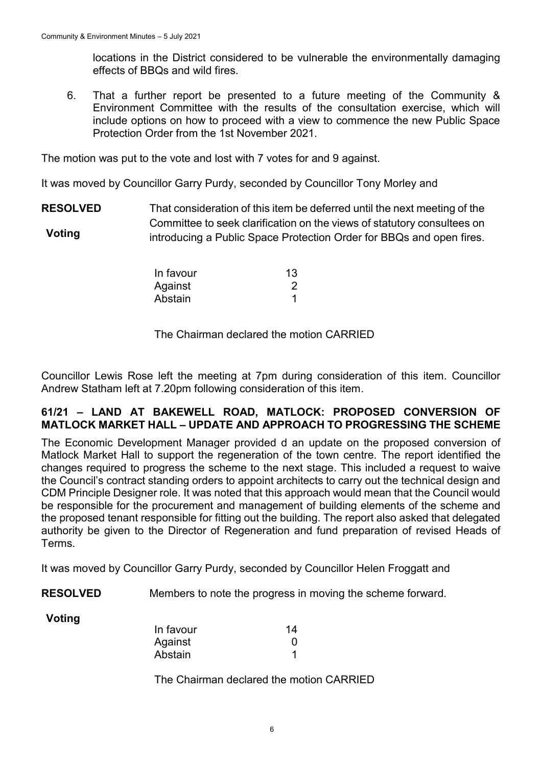locations in the District considered to be vulnerable the environmentally damaging effects of BBQs and wild fires.

6. That a further report be presented to a future meeting of the Community & Environment Committee with the results of the consultation exercise, which will include options on how to proceed with a view to commence the new Public Space Protection Order from the 1st November 2021.

The motion was put to the vote and lost with 7 votes for and 9 against.

It was moved by Councillor Garry Purdy, seconded by Councillor Tony Morley and

**RESOLVED Voting** That consideration of this item be deferred until the next meeting of the Committee to seek clarification on the views of statutory consultees on introducing a Public Space Protection Order for BBQs and open fires.

| In favour | 13 |
|-----------|----|
| Against   |    |
| Abstain   |    |

### The Chairman declared the motion CARRIED

Councillor Lewis Rose left the meeting at 7pm during consideration of this item. Councillor Andrew Statham left at 7.20pm following consideration of this item.

#### **61/21 – LAND AT BAKEWELL ROAD, MATLOCK: PROPOSED CONVERSION OF MATLOCK MARKET HALL – UPDATE AND APPROACH TO PROGRESSING THE SCHEME**

The Economic Development Manager provided d an update on the proposed conversion of Matlock Market Hall to support the regeneration of the town centre. The report identified the changes required to progress the scheme to the next stage. This included a request to waive the Council's contract standing orders to appoint architects to carry out the technical design and CDM Principle Designer role. It was noted that this approach would mean that the Council would be responsible for the procurement and management of building elements of the scheme and the proposed tenant responsible for fitting out the building. The report also asked that delegated authority be given to the Director of Regeneration and fund preparation of revised Heads of Terms.

It was moved by Councillor Garry Purdy, seconded by Councillor Helen Froggatt and

**RESOLVED** Members to note the progress in moving the scheme forward.

**Voting**

| In favour | 14 |
|-----------|----|
| Against   | O  |
| Abstain   |    |

The Chairman declared the motion CARRIED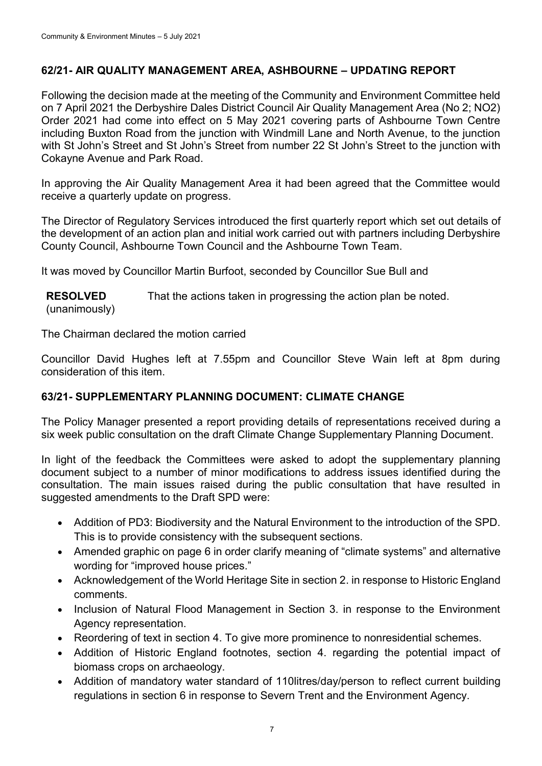## **62/21- AIR QUALITY MANAGEMENT AREA, ASHBOURNE – UPDATING REPORT**

Following the decision made at the meeting of the Community and Environment Committee held on 7 April 2021 the Derbyshire Dales District Council Air Quality Management Area (No 2; NO2) Order 2021 had come into effect on 5 May 2021 covering parts of Ashbourne Town Centre including Buxton Road from the junction with Windmill Lane and North Avenue, to the junction with St John's Street and St John's Street from number 22 St John's Street to the junction with Cokayne Avenue and Park Road.

In approving the Air Quality Management Area it had been agreed that the Committee would receive a quarterly update on progress.

The Director of Regulatory Services introduced the first quarterly report which set out details of the development of an action plan and initial work carried out with partners including Derbyshire County Council, Ashbourne Town Council and the Ashbourne Town Team.

It was moved by Councillor Martin Burfoot, seconded by Councillor Sue Bull and

**RESOLVED** (unanimously) That the actions taken in progressing the action plan be noted.

The Chairman declared the motion carried

Councillor David Hughes left at 7.55pm and Councillor Steve Wain left at 8pm during consideration of this item.

## **63/21- SUPPLEMENTARY PLANNING DOCUMENT: CLIMATE CHANGE**

The Policy Manager presented a report providing details of representations received during a six week public consultation on the draft Climate Change Supplementary Planning Document.

In light of the feedback the Committees were asked to adopt the supplementary planning document subject to a number of minor modifications to address issues identified during the consultation. The main issues raised during the public consultation that have resulted in suggested amendments to the Draft SPD were:

- Addition of PD3: Biodiversity and the Natural Environment to the introduction of the SPD. This is to provide consistency with the subsequent sections.
- Amended graphic on page 6 in order clarify meaning of "climate systems" and alternative wording for "improved house prices."
- Acknowledgement of the World Heritage Site in section 2. in response to Historic England comments.
- Inclusion of Natural Flood Management in Section 3. in response to the Environment Agency representation.
- Reordering of text in section 4. To give more prominence to nonresidential schemes.
- Addition of Historic England footnotes, section 4. regarding the potential impact of biomass crops on archaeology.
- Addition of mandatory water standard of 110 litres/day/person to reflect current building regulations in section 6 in response to Severn Trent and the Environment Agency.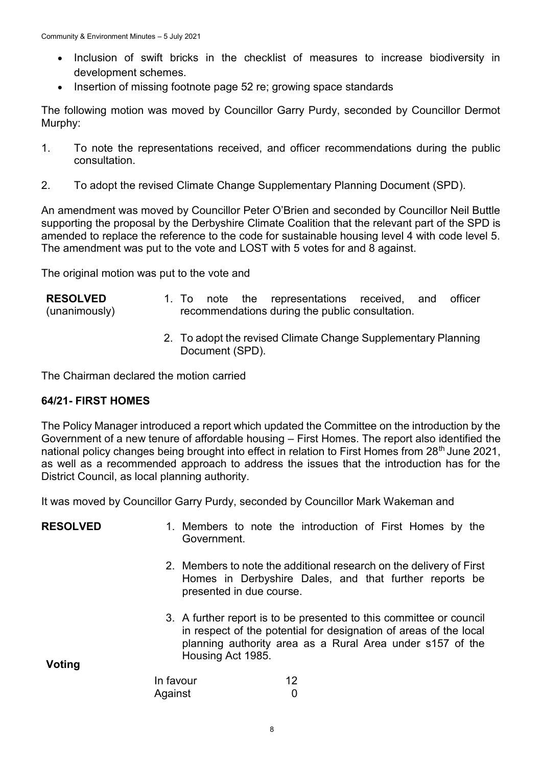- Inclusion of swift bricks in the checklist of measures to increase biodiversity in development schemes.
- Insertion of missing footnote page 52 re; growing space standards

The following motion was moved by Councillor Garry Purdy, seconded by Councillor Dermot Murphy:

- 1. To note the representations received, and officer recommendations during the public consultation.
- 2. To adopt the revised Climate Change Supplementary Planning Document (SPD).

An amendment was moved by Councillor Peter O'Brien and seconded by Councillor Neil Buttle supporting the proposal by the Derbyshire Climate Coalition that the relevant part of the SPD is amended to replace the reference to the code for sustainable housing level 4 with code level 5. The amendment was put to the vote and LOST with 5 votes for and 8 against.

The original motion was put to the vote and

| <b>RESOLVED</b> |  |  | 1. To note the representations received, and officer |  |  |
|-----------------|--|--|------------------------------------------------------|--|--|
| (unanimously)   |  |  | recommendations during the public consultation.      |  |  |

2. To adopt the revised Climate Change Supplementary Planning Document (SPD).

The Chairman declared the motion carried

### **64/21- FIRST HOMES**

The Policy Manager introduced a report which updated the Committee on the introduction by the Government of a new tenure of affordable housing – First Homes. The report also identified the national policy changes being brought into effect in relation to First Homes from 28<sup>th</sup> June 2021, as well as a recommended approach to address the issues that the introduction has for the District Council, as local planning authority.

It was moved by Councillor Garry Purdy, seconded by Councillor Mark Wakeman and

| <b>RESOLVED</b> | Government.              | 1. Members to note the introduction of First Homes by the                                                                                                                                             |
|-----------------|--------------------------|-------------------------------------------------------------------------------------------------------------------------------------------------------------------------------------------------------|
|                 | presented in due course. | 2. Members to note the additional research on the delivery of First<br>Homes in Derbyshire Dales, and that further reports be                                                                         |
| Voting          | Housing Act 1985.        | 3. A further report is to be presented to this committee or council<br>in respect of the potential for designation of areas of the local<br>planning authority area as a Rural Area under s157 of the |
|                 | In favour                | 12                                                                                                                                                                                                    |
|                 |                          |                                                                                                                                                                                                       |
|                 | Against                  |                                                                                                                                                                                                       |

8